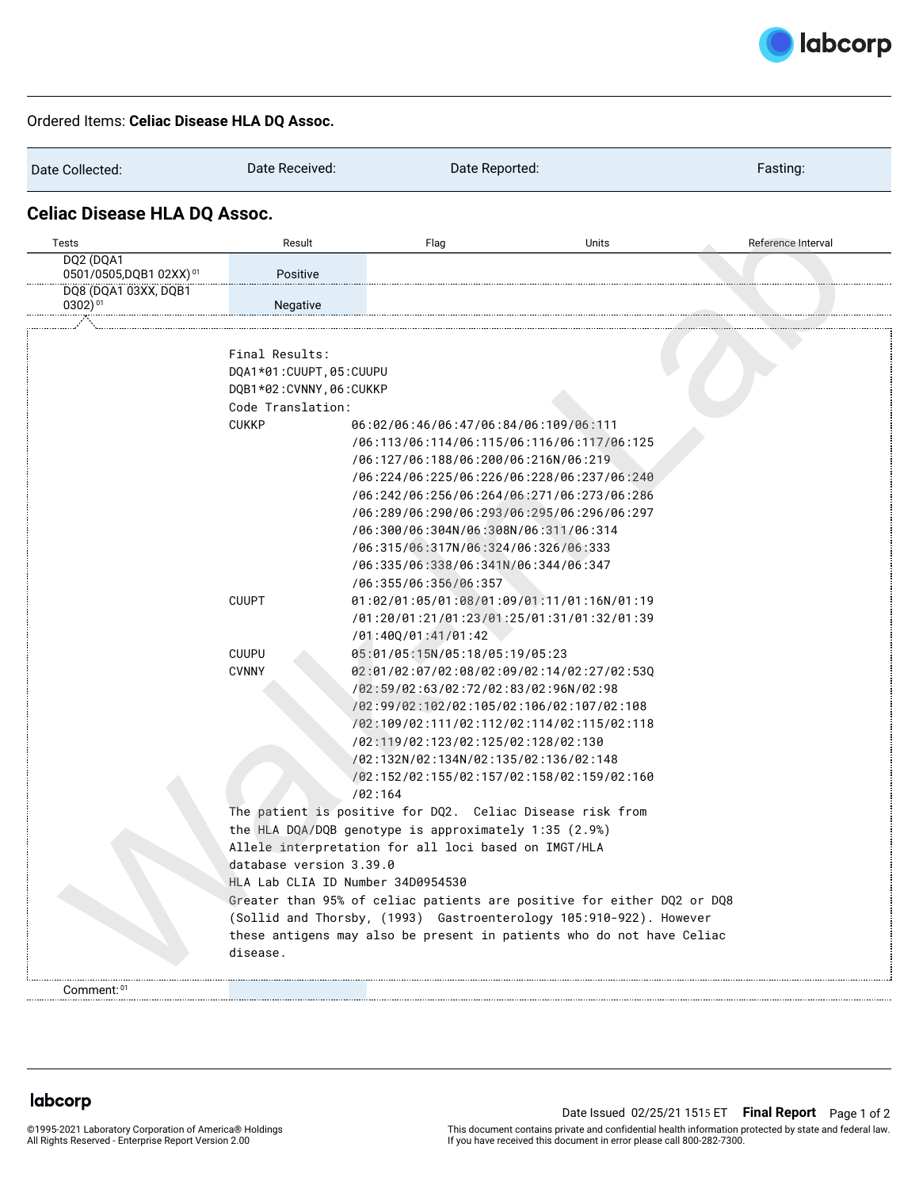

## Ordered Items: **Celiac Disease HLA DQ Assoc.**

| Date Collected:                             | Date Received:                                                                                                                                                                                                                                                                                                                                                                                                                                                                  | Date Reported:                                                                                                                                                                                                                                                                                                                                                                                 |       | Fasting:           |  |  |
|---------------------------------------------|---------------------------------------------------------------------------------------------------------------------------------------------------------------------------------------------------------------------------------------------------------------------------------------------------------------------------------------------------------------------------------------------------------------------------------------------------------------------------------|------------------------------------------------------------------------------------------------------------------------------------------------------------------------------------------------------------------------------------------------------------------------------------------------------------------------------------------------------------------------------------------------|-------|--------------------|--|--|
| <b>Celiac Disease HLA DQ Assoc.</b>         |                                                                                                                                                                                                                                                                                                                                                                                                                                                                                 |                                                                                                                                                                                                                                                                                                                                                                                                |       |                    |  |  |
| Tests                                       | Result                                                                                                                                                                                                                                                                                                                                                                                                                                                                          | Flag                                                                                                                                                                                                                                                                                                                                                                                           | Units | Reference Interval |  |  |
| DQ2 (DQA1<br>0501/0505, DQB1 02XX) 01       | Positive                                                                                                                                                                                                                                                                                                                                                                                                                                                                        |                                                                                                                                                                                                                                                                                                                                                                                                |       |                    |  |  |
| DQ8 (DQA1 03XX, DQB1<br>0302) <sup>01</sup> | Negative                                                                                                                                                                                                                                                                                                                                                                                                                                                                        |                                                                                                                                                                                                                                                                                                                                                                                                |       |                    |  |  |
|                                             |                                                                                                                                                                                                                                                                                                                                                                                                                                                                                 |                                                                                                                                                                                                                                                                                                                                                                                                |       |                    |  |  |
|                                             | Final Results:<br>DQA1*01:CUUPT, 05:CUUPU<br>DQB1*02:CVNNY, 06:CUKKP<br>Code Translation:<br><b>CUKKP</b>                                                                                                                                                                                                                                                                                                                                                                       | 06:02/06:46/06:47/06:84/06:109/06:111<br>/06:113/06:114/06:115/06:116/06:117/06:125<br>/06:127/06:188/06:200/06:216N/06:219<br>/06:224/06:225/06:226/06:228/06:237/06:240<br>/06:242/06:256/06:264/06:271/06:273/06:286<br>/06:289/06:290/06:293/06:295/06:296/06:297<br>/06:300/06:304N/06:308N/06:311/06:314<br>/06:315/06:317N/06:324/06:326/06:333<br>706:335/06:338/06:341N/06:344/06:347 |       |                    |  |  |
|                                             | <b>CUUPT</b>                                                                                                                                                                                                                                                                                                                                                                                                                                                                    | /06:355/06:356/06:357<br>01:02/01:05/01:08/01:09/01:11/01:16N/01:19<br>/01:20/01:21/01:23/01:25/01:31/01:32/01:39                                                                                                                                                                                                                                                                              |       |                    |  |  |
|                                             | <b>CUUPU</b><br><b>CVNNY</b>                                                                                                                                                                                                                                                                                                                                                                                                                                                    | /01:400/01:41/01:42<br>05:01/05:15N/05:18/05:19/05:23<br>02:01/02:07/02:08/02:09/02:14/02:27/02:530<br>/02:59/02:63/02:72/02:83/02:96N/02:98<br>/02:99/02:102/02:105/02:106/02:107/02:108<br>/02:109/02:111/02:112/02:114/02:115/02:118<br>/02:119/02:123/02:125/02:128/02:130<br>/02:132N/02:134N/02:135/02:136/02:148<br>/02:152/02:155/02:157/02:158/02:159/02:160<br>/02:164               |       |                    |  |  |
|                                             | The patient is positive for DQ2. Celiac Disease risk from<br>the HLA DQA/DQB genotype is approximately 1:35 (2.9%)<br>Allele interpretation for all loci based on IMGT/HLA<br>database version 3.39.0<br>HLA Lab CLIA ID Number 34D0954530<br>Greater than 95% of celiac patients are positive for either DQ2 or DQ8<br>(Sollid and Thorsby, (1993) Gastroenterology 105:910-922). However<br>these antigens may also be present in patients who do not have Celiac<br>disease. |                                                                                                                                                                                                                                                                                                                                                                                                |       |                    |  |  |
| Comment: 01                                 |                                                                                                                                                                                                                                                                                                                                                                                                                                                                                 |                                                                                                                                                                                                                                                                                                                                                                                                |       |                    |  |  |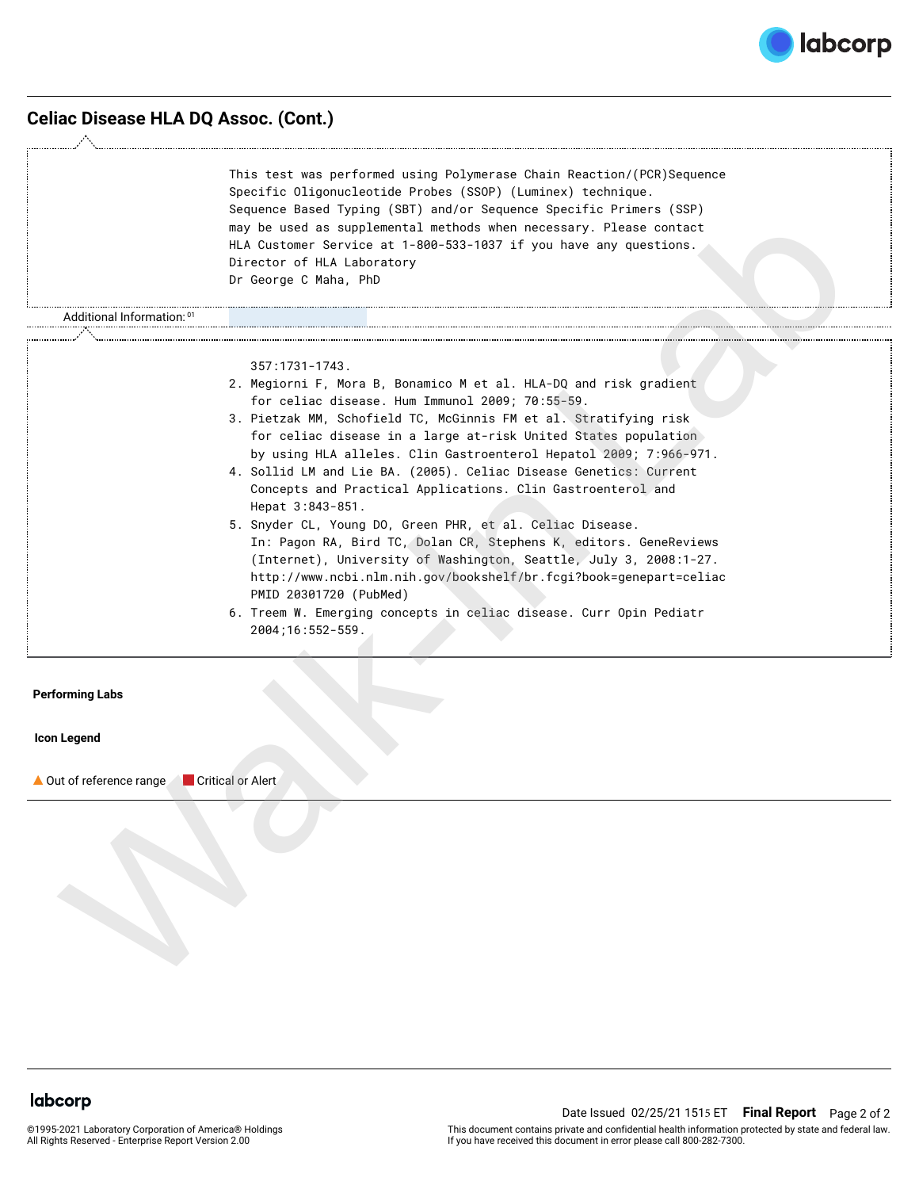

# **Celiac Disease HLA DQ Assoc. (Cont.)**

|                                                      | This test was performed using Polymerase Chain Reaction/(PCR) Sequence<br>Specific Oligonucleotide Probes (SSOP) (Luminex) technique.<br>Sequence Based Typing (SBT) and/or Sequence Specific Primers (SSP)<br>may be used as supplemental methods when necessary. Please contact<br>HLA Customer Service at 1-800-533-1037 if you have any questions.<br>Director of HLA Laboratory<br>Dr George C Maha, PhD                                                                                                                                                                                                                                                                                                                                                                                                                                                                                                |  |  |  |  |
|------------------------------------------------------|--------------------------------------------------------------------------------------------------------------------------------------------------------------------------------------------------------------------------------------------------------------------------------------------------------------------------------------------------------------------------------------------------------------------------------------------------------------------------------------------------------------------------------------------------------------------------------------------------------------------------------------------------------------------------------------------------------------------------------------------------------------------------------------------------------------------------------------------------------------------------------------------------------------|--|--|--|--|
| <sup>01</sup> Additional Information:                |                                                                                                                                                                                                                                                                                                                                                                                                                                                                                                                                                                                                                                                                                                                                                                                                                                                                                                              |  |  |  |  |
|                                                      | $357:1731-1743.$<br>2. Megiorni F, Mora B, Bonamico M et al. HLA-DQ and risk gradient<br>for celiac disease. Hum Immunol 2009; 70:55-59.<br>3. Pietzak MM, Schofield TC, McGinnis FM et al. Stratifying risk<br>for celiac disease in a large at-risk United States population<br>by using HLA alleles. Clin Gastroenterol Hepatol 2009; 7:966-971.<br>4. Sollid LM and Lie BA. (2005). Celiac Disease Genetics: Current<br>Concepts and Practical Applications. Clin Gastroenterol and<br>Hepat 3:843-851.<br>5. Snyder CL, Young DO, Green PHR, et al. Celiac Disease.<br>In: Pagon RA, Bird TC, Dolan CR, Stephens K, editors. GeneReviews<br>(Internet), University of Washington, Seattle, July 3, 2008:1-27.<br>http://www.ncbi.nlm.nih.gov/bookshelf/br.fcgi?book=genepart=celiac<br>PMID 20301720 (PubMed)<br>6. Treem W. Emerging concepts in celiac disease. Curr Opin Pediatr<br>2004;16:552-559. |  |  |  |  |
| <b>Performing Labs</b>                               |                                                                                                                                                                                                                                                                                                                                                                                                                                                                                                                                                                                                                                                                                                                                                                                                                                                                                                              |  |  |  |  |
| <b>Icon Legend</b>                                   |                                                                                                                                                                                                                                                                                                                                                                                                                                                                                                                                                                                                                                                                                                                                                                                                                                                                                                              |  |  |  |  |
| ▲ Out of reference range<br><b>Critical or Alert</b> |                                                                                                                                                                                                                                                                                                                                                                                                                                                                                                                                                                                                                                                                                                                                                                                                                                                                                                              |  |  |  |  |

- 2. Megiorni F, Mora B, Bonamico M et al. HLA-DQ and risk gradient for celiac disease. Hum Immunol 2009; 70:55-59.
- 3. Pietzak MM, Schofield TC, McGinnis FM et al. Stratifying risk for celiac disease in a large at-risk United States population by using HLA alleles. Clin Gastroenterol Hepatol 2009; 7:966-971.
- 4. Sollid LM and Lie BA. (2005). Celiac Disease Genetics: Current Concepts and Practical Applications. Clin Gastroenterol and Hepat 3:843-851.
- 5. Snyder CL, Young DO, Green PHR, et al. Celiac Disease. In: Pagon RA, Bird TC, Dolan CR, Stephens K, editors. GeneReviews (Internet), University of Washington, Seattle, July 3, 2008:1-27. http://www.ncbi.nlm.nih.gov/bookshelf/br.fcgi?book=genepart=celiac PMID 20301720 (PubMed)
- 6. Treem W. Emerging concepts in celiac disease. Curr Opin Pediatr 2004;16:552-559.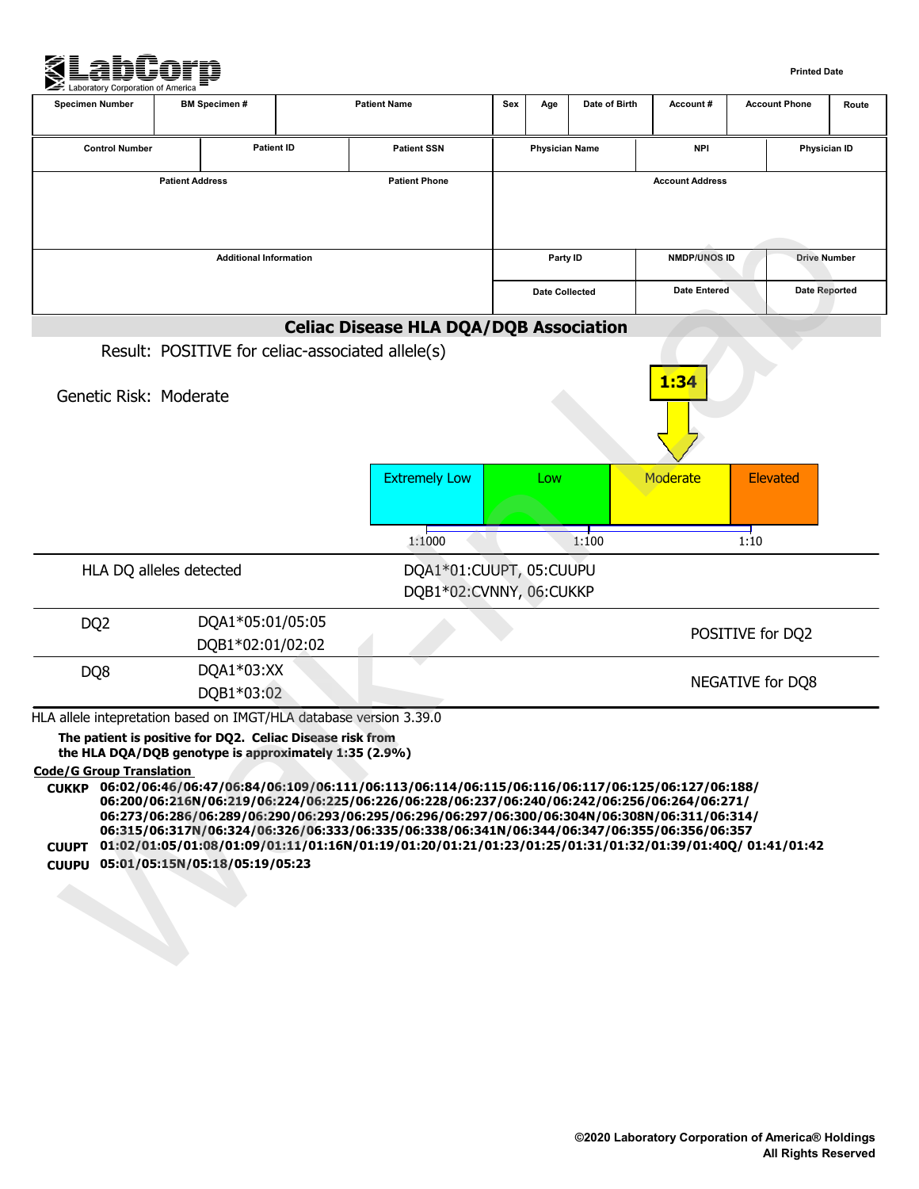

| <b>Specimen Number</b>          | <b>BM Specimen#</b>                                                                                                                                                                                                              |                   | <b>Patient Name</b>                                                                                                                                                                                                                                                                                                                                                                                                                                                                                                     | Sex | Age                   | Date of Birth | Account#               | <b>Account Phone</b> | Route                |
|---------------------------------|----------------------------------------------------------------------------------------------------------------------------------------------------------------------------------------------------------------------------------|-------------------|-------------------------------------------------------------------------------------------------------------------------------------------------------------------------------------------------------------------------------------------------------------------------------------------------------------------------------------------------------------------------------------------------------------------------------------------------------------------------------------------------------------------------|-----|-----------------------|---------------|------------------------|----------------------|----------------------|
| <b>Control Number</b>           |                                                                                                                                                                                                                                  | <b>Patient ID</b> | <b>Patient SSN</b>                                                                                                                                                                                                                                                                                                                                                                                                                                                                                                      |     | <b>Physician Name</b> |               | <b>NPI</b>             |                      | Physician ID         |
|                                 | <b>Patient Address</b>                                                                                                                                                                                                           |                   | <b>Patient Phone</b>                                                                                                                                                                                                                                                                                                                                                                                                                                                                                                    |     |                       |               | <b>Account Address</b> |                      |                      |
|                                 | <b>Additional Information</b>                                                                                                                                                                                                    |                   |                                                                                                                                                                                                                                                                                                                                                                                                                                                                                                                         |     | Party ID              |               | <b>NMDP/UNOS ID</b>    |                      | <b>Drive Number</b>  |
|                                 |                                                                                                                                                                                                                                  |                   |                                                                                                                                                                                                                                                                                                                                                                                                                                                                                                                         |     | Date Collected        |               | <b>Date Entered</b>    |                      | <b>Date Reported</b> |
|                                 |                                                                                                                                                                                                                                  |                   | <b>Celiac Disease HLA DQA/DQB Association</b>                                                                                                                                                                                                                                                                                                                                                                                                                                                                           |     |                       |               |                        |                      |                      |
| Genetic Risk: Moderate          | Result: POSITIVE for celiac-associated allele(s)                                                                                                                                                                                 |                   |                                                                                                                                                                                                                                                                                                                                                                                                                                                                                                                         |     |                       |               | 1:34                   |                      |                      |
|                                 |                                                                                                                                                                                                                                  |                   | <b>Extremely Low</b>                                                                                                                                                                                                                                                                                                                                                                                                                                                                                                    |     | Low                   |               | Moderate               | <b>Elevated</b>      |                      |
|                                 |                                                                                                                                                                                                                                  |                   | 1:1000                                                                                                                                                                                                                                                                                                                                                                                                                                                                                                                  |     |                       | 1:100         |                        | 1:10                 |                      |
|                                 | HLA DQ alleles detected                                                                                                                                                                                                          |                   | DQA1*01:CUUPT, 05:CUUPU<br>DQB1*02:CVNNY, 06:CUKKP                                                                                                                                                                                                                                                                                                                                                                                                                                                                      |     |                       |               |                        |                      |                      |
| DQ <sub>2</sub>                 | DQA1*05:01/05:05<br>DQB1*02:01/02:02                                                                                                                                                                                             |                   |                                                                                                                                                                                                                                                                                                                                                                                                                                                                                                                         |     |                       |               |                        | POSITIVE for DQ2     |                      |
| DQ8                             | DQA1*03:XX<br>DQB1*03:02                                                                                                                                                                                                         |                   |                                                                                                                                                                                                                                                                                                                                                                                                                                                                                                                         |     |                       |               |                        | NEGATIVE for DQ8     |                      |
| <b>Code/G Group Translation</b> | HLA allele intepretation based on IMGT/HLA database version 3.39.0<br>The patient is positive for DQ2. Celiac Disease risk from<br>the HLA DQA/DQB genotype is approximately 1:35 (2.9%)<br>CUUPU 05:01/05:15N/05:18/05:19/05:23 |                   | CUKKP 06:02/06:46/06:47/06:84/06:109/06:111/06:113/06:114/06:115/06:116/06:117/06:125/06:127/06:188/<br>06:200/06:216N/06:219/06:224/06:225/06:226/06:228/06:237/06:240/06:242/06:256/06:264/06:271/<br>06:273/06:286/06:289/06:290/06:293/06:295/06:296/06:297/06:300/06:304N/06:308N/06:311/06:314/<br>06:315/06:317N/06:324/06:326/06:333/06:335/06:338/06:341N/06:344/06:347/06:355/06:356/06:357<br>CUUPT 01:02/01:05/01:08/01:09/01:11/01:16N/01:19/01:20/01:21/01:23/01:25/01:31/01:32/01:39/01:40Q/ 01:41/01:42 |     |                       |               |                        |                      |                      |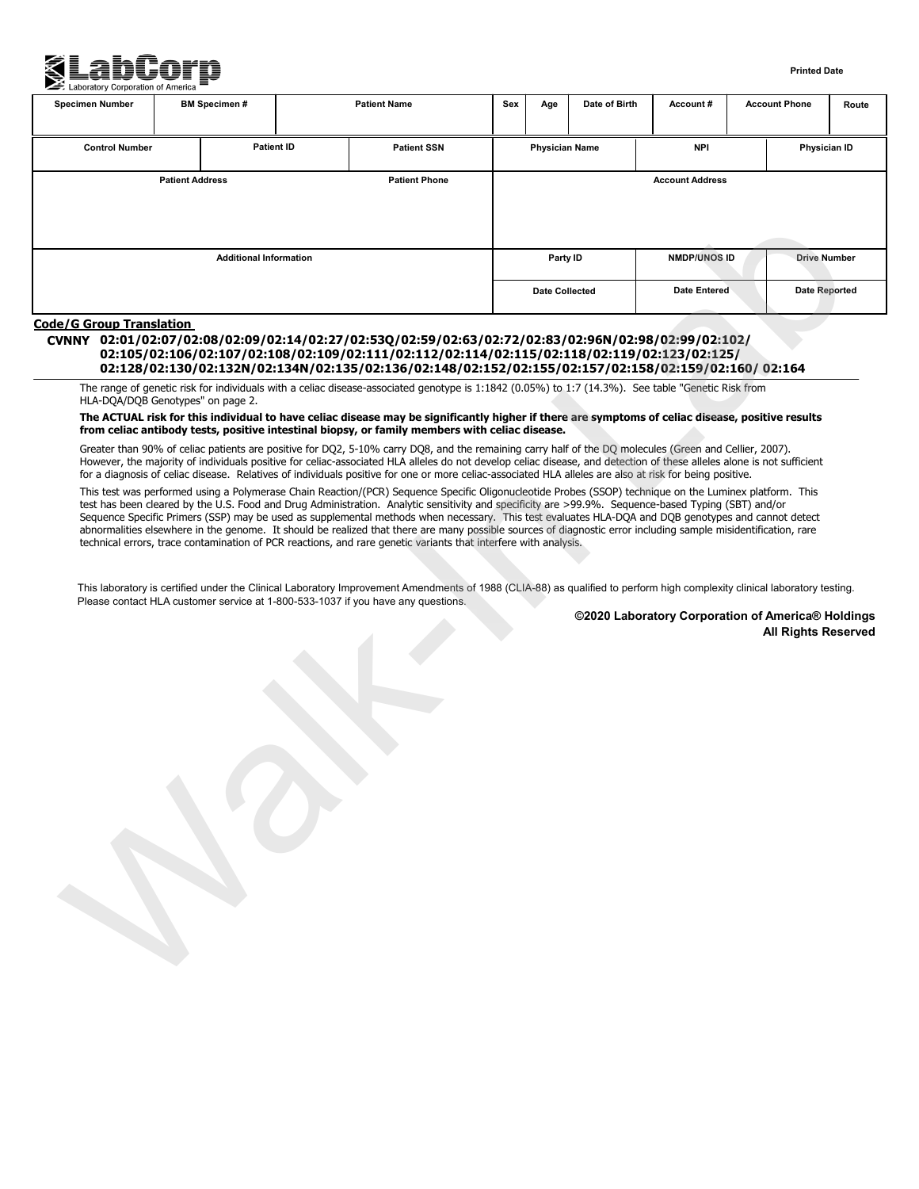

#### **Printed Date**

| <b>Patient ID</b><br><b>Physician Name</b><br><b>NPI</b><br><b>Control Number</b><br><b>Patient SSN</b><br><b>Patient Phone</b><br><b>Patient Address</b><br><b>Account Address</b><br><b>NMDP/UNOS ID</b><br><b>Additional Information</b><br>Party ID<br><b>Date Entered</b><br><b>Date Collected</b><br><b>Code/G Group Translation</b><br>CVNNY 02:01/02:07/02:08/02:09/02:14/02:27/02:53Q/02:59/02:63/02:72/02:83/02:96N/02:98/02:99/02:102/<br>02:105/02:106/02:107/02:108/02:109/02:111/02:112/02:114/02:115/02:118/02:119/02:123/02:125/<br>02:128/02:130/02:132N/02:134N/02:135/02:136/02:148/02:152/02:155/02:157/02:158/02:159/02:160/02:164<br>The range of genetic risk for individuals with a celiac disease-associated genotype is 1:1842 (0.05%) to 1:7 (14.3%). See table "Genetic Risk from<br>HLA-DQA/DQB Genotypes" on page 2.<br>The ACTUAL risk for this individual to have celiac disease may be significantly higher if there are symptoms of celiac disease, positive results<br>from celiac antibody tests, positive intestinal biopsy, or family members with celiac disease.<br>Greater than 90% of celiac patients are positive for DQ2, 5-10% carry DQ8, and the remaining carry half of the DQ molecules (Green and Cellier, 2007).<br>However, the majority of individuals positive for celiac-associated HLA alleles do not develop celiac disease, and detection of these alleles alone is not sufficient<br>for a diagnosis of celiac disease. Relatives of individuals positive for one or more celiac-associated HLA alleles are also at risk for being positive. | Physician ID<br><b>Drive Number</b><br><b>Date Reported</b> |
|--------------------------------------------------------------------------------------------------------------------------------------------------------------------------------------------------------------------------------------------------------------------------------------------------------------------------------------------------------------------------------------------------------------------------------------------------------------------------------------------------------------------------------------------------------------------------------------------------------------------------------------------------------------------------------------------------------------------------------------------------------------------------------------------------------------------------------------------------------------------------------------------------------------------------------------------------------------------------------------------------------------------------------------------------------------------------------------------------------------------------------------------------------------------------------------------------------------------------------------------------------------------------------------------------------------------------------------------------------------------------------------------------------------------------------------------------------------------------------------------------------------------------------------------------------------------------------------------------------|-------------------------------------------------------------|
|                                                                                                                                                                                                                                                                                                                                                                                                                                                                                                                                                                                                                                                                                                                                                                                                                                                                                                                                                                                                                                                                                                                                                                                                                                                                                                                                                                                                                                                                                                                                                                                                        |                                                             |
|                                                                                                                                                                                                                                                                                                                                                                                                                                                                                                                                                                                                                                                                                                                                                                                                                                                                                                                                                                                                                                                                                                                                                                                                                                                                                                                                                                                                                                                                                                                                                                                                        |                                                             |
|                                                                                                                                                                                                                                                                                                                                                                                                                                                                                                                                                                                                                                                                                                                                                                                                                                                                                                                                                                                                                                                                                                                                                                                                                                                                                                                                                                                                                                                                                                                                                                                                        |                                                             |
|                                                                                                                                                                                                                                                                                                                                                                                                                                                                                                                                                                                                                                                                                                                                                                                                                                                                                                                                                                                                                                                                                                                                                                                                                                                                                                                                                                                                                                                                                                                                                                                                        |                                                             |
| This test was performed using a Polymerase Chain Reaction/(PCR) Sequence Specific Oligonucleotide Probes (SSOP) technique on the Luminex platform. This<br>test has been cleared by the U.S. Food and Drug Administration. Analytic sensitivity and specificity are >99.9%. Sequence-based Typing (SBT) and/or<br>Sequence Specific Primers (SSP) may be used as supplemental methods when necessary. This test evaluates HLA-DQA and DQB genotypes and cannot detect<br>abnormalities elsewhere in the genome. It should be realized that there are many possible sources of diagnostic error including sample misidentification, rare<br>technical errors, trace contamination of PCR reactions, and rare genetic variants that interfere with analysis.<br>This laboratory is certified under the Clinical Laboratory Improvement Amendments of 1988 (CLIA-88) as qualified to perform high complexity clinical laboratory testing.<br>Please contact HLA customer service at 1-800-533-1037 if you have any questions.<br>©2020 Laboratory Corporation of America® Holdings<br><b>All Rights Reserved</b>                                                                                                                                                                                                                                                                                                                                                                                                                                                                                          |                                                             |

### **Code/G Group Translation**

### **CVNNY 02:01/02:07/02:08/02:09/02:14/02:27/02:53Q/02:59/02:63/02:72/02:83/02:96N/02:98/02:99/02:102/ 02:105/02:106/02:107/02:108/02:109/02:111/02:112/02:114/02:115/02:118/02:119/02:123/02:125/ 02:128/02:130/02:132N/02:134N/02:135/02:136/02:148/02:152/02:155/02:157/02:158/02:159/02:160/ 02:164**